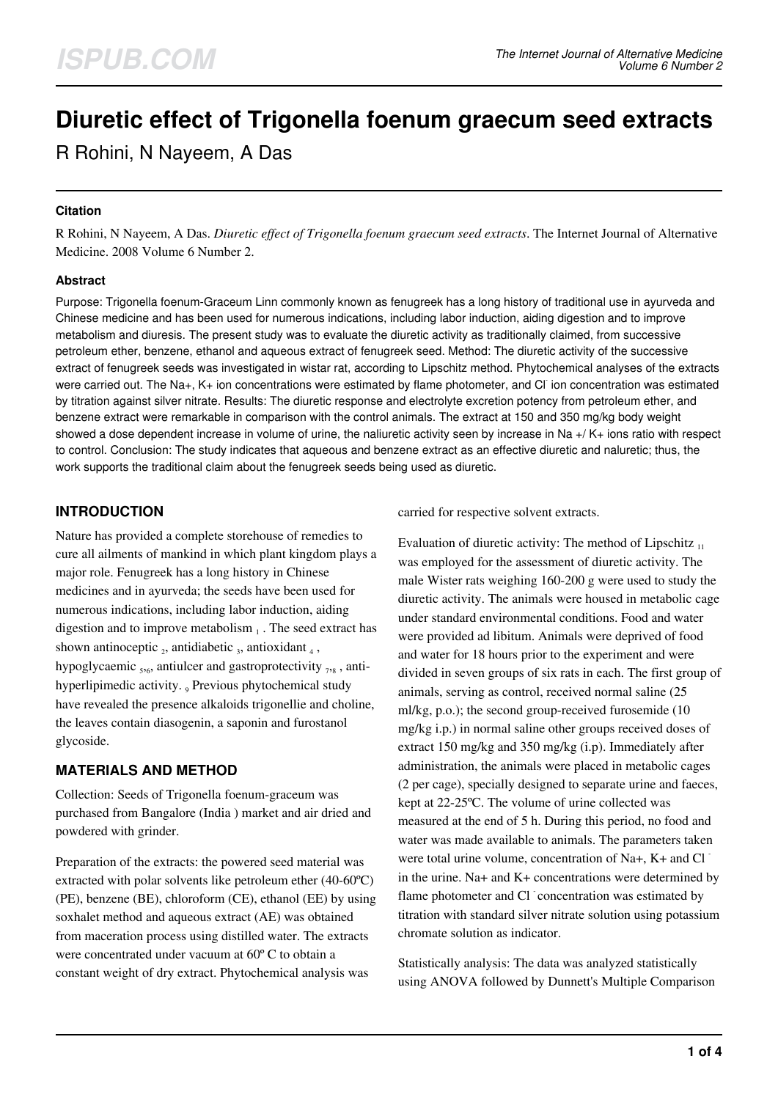# **Diuretic effect of Trigonella foenum graecum seed extracts**

R Rohini, N Nayeem, A Das

## **Citation**

R Rohini, N Nayeem, A Das. *Diuretic effect of Trigonella foenum graecum seed extracts*. The Internet Journal of Alternative Medicine. 2008 Volume 6 Number 2.

## **Abstract**

Purpose: Trigonella foenum-Graceum Linn commonly known as fenugreek has a long history of traditional use in ayurveda and Chinese medicine and has been used for numerous indications, including labor induction, aiding digestion and to improve metabolism and diuresis. The present study was to evaluate the diuretic activity as traditionally claimed, from successive petroleum ether, benzene, ethanol and aqueous extract of fenugreek seed. Method: The diuretic activity of the successive extract of fenugreek seeds was investigated in wistar rat, according to Lipschitz method. Phytochemical analyses of the extracts were carried out. The Na+, K+ ion concentrations were estimated by flame photometer, and Cl ion concentration was estimated by titration against silver nitrate. Results: The diuretic response and electrolyte excretion potency from petroleum ether, and benzene extract were remarkable in comparison with the control animals. The extract at 150 and 350 mg/kg body weight showed a dose dependent increase in volume of urine, the naliuretic activity seen by increase in Na +/ K+ ions ratio with respect to control. Conclusion: The study indicates that aqueous and benzene extract as an effective diuretic and naluretic; thus, the work supports the traditional claim about the fenugreek seeds being used as diuretic.

# **INTRODUCTION**

Nature has provided a complete storehouse of remedies to cure all ailments of mankind in which plant kingdom plays a major role. Fenugreek has a long history in Chinese medicines and in ayurveda; the seeds have been used for numerous indications, including labor induction, aiding digestion and to improve metabolism  $_1$ . The seed extract has shown antinoceptic  $_2$ , antidiabetic  $_3$ , antioxidant  $_4$ , hypoglycaemic  $_{5.6}$ , antiulcer and gastroprotectivity  $_{7.8}$ , antihyperlipimedic activity.  $_{9}$  Previous phytochemical study have revealed the presence alkaloids trigonellie and choline, the leaves contain diasogenin, a saponin and furostanol glycoside.

## **MATERIALS AND METHOD**

Collection: Seeds of Trigonella foenum-graceum was purchased from Bangalore (India ) market and air dried and powdered with grinder.

Preparation of the extracts: the powered seed material was extracted with polar solvents like petroleum ether (40-60ºC) (PE), benzene (BE), chloroform (CE), ethanol (EE) by using soxhalet method and aqueous extract (AE) was obtained from maceration process using distilled water. The extracts were concentrated under vacuum at 60º C to obtain a constant weight of dry extract. Phytochemical analysis was

carried for respective solvent extracts.

Evaluation of diuretic activity: The method of Lipschitz  $_{11}$ was employed for the assessment of diuretic activity. The male Wister rats weighing 160-200 g were used to study the diuretic activity. The animals were housed in metabolic cage under standard environmental conditions. Food and water were provided ad libitum. Animals were deprived of food and water for 18 hours prior to the experiment and were divided in seven groups of six rats in each. The first group of animals, serving as control, received normal saline (25 ml/kg, p.o.); the second group-received furosemide (10 mg/kg i.p.) in normal saline other groups received doses of extract 150 mg/kg and 350 mg/kg (i.p). Immediately after administration, the animals were placed in metabolic cages (2 per cage), specially designed to separate urine and faeces, kept at 22-25ºC. The volume of urine collected was measured at the end of 5 h. During this period, no food and water was made available to animals. The parameters taken were total urine volume, concentration of Na+,  $K+$  and Cl in the urine. Na+ and K+ concentrations were determined by flame photometer and Cl concentration was estimated by titration with standard silver nitrate solution using potassium chromate solution as indicator.

Statistically analysis: The data was analyzed statistically using ANOVA followed by Dunnett's Multiple Comparison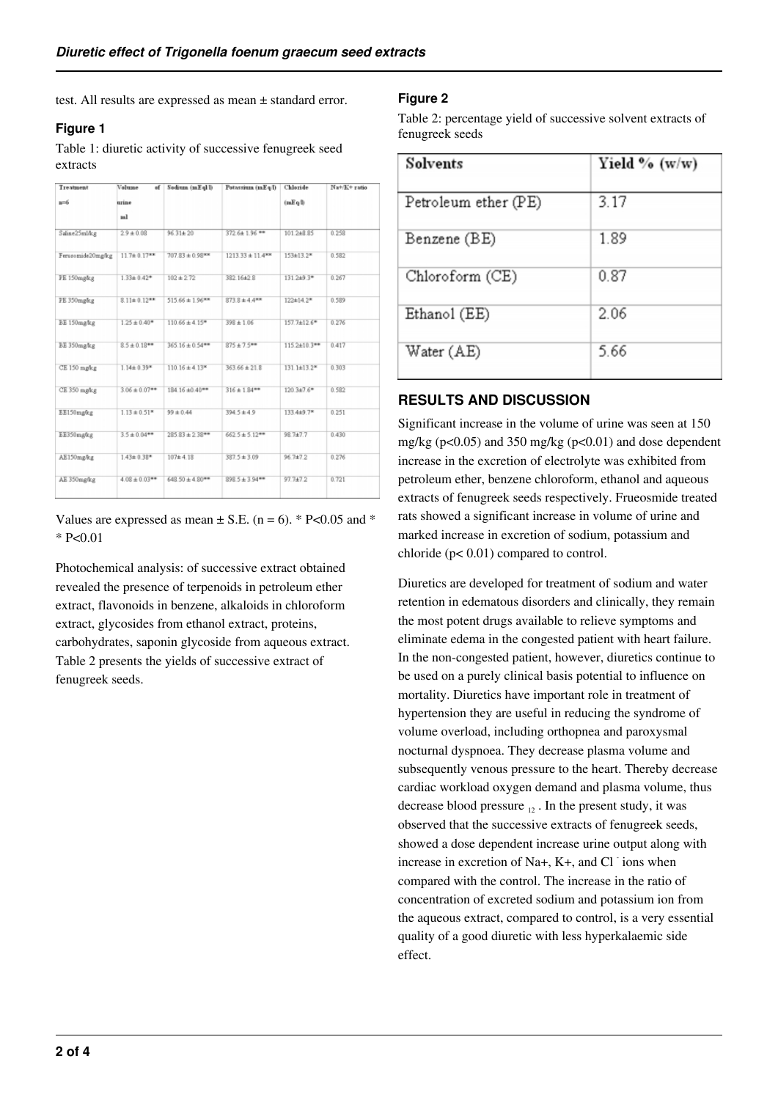test. All results are expressed as mean ± standard error.

## **Figure 1**

Table 1: diuretic activity of successive fenugreek seed extracts

| Treatment         | Volume<br>af       | Sodium (mEql/l)      | Potassium (mEq I)                | Chloride           | Na+/K+ ratio |
|-------------------|--------------------|----------------------|----------------------------------|--------------------|--------------|
| u=6               | urine              |                      |                                  | (mEq)              |              |
|                   | ml                 |                      |                                  |                    |              |
| Saline25ml/kg     | $29 + 0.08$        | $96.31 \pm 20$       | 372.6±1.96 **                    | 101.2+8.85         | 0.258        |
| Ferusomide20mg/kg | $11.7 \pm 0.17***$ | $707.83 \pm 0.98$ ** | $1213.33 \pm 11.4$ <sup>**</sup> | 153±13.2*          | 0.582        |
| PE 150mg/kg       | $1.33 \pm 0.42$ *  | $102 + 2.72$         | 382.16±2.8                       | $131.2+9.3*$       | 0.267        |
| PE 350mgkg        | $8.11 \pm 0.12***$ | $515.66 \pm 1.96***$ | $873.8 \pm 4.4$ <sup>**</sup>    | 122±14.2*          | 0.589        |
| BE 150mg/kg       | $1.25 \pm 0.40$ *  | $110.66 \pm 4.15$ *  | $398 \pm 1.06$                   | $157.7 \pm 12.6$ * | 0.276        |
| BE 350mg/kg       | $8.5 \pm 0.18***$  | $365.16 \pm 0.54***$ | $875 \pm 7.5***$                 | 115.2±10.3**       | 0.417        |
| CE 150 mg/kg      | $1.14 \pm 0.39$ *  | $110.16 \pm 4.13$ *  | $363.66 \pm 21.8$                | $131.1 \pm 13.2$ * | 0.303        |
| CE 350 mg/kg      | $3.06 \pm 0.07$ ** | 184.16 ±0.40**       | $316 \pm 1.84***$                | 120.3±7.6*         | 0.582        |
| EE150mg/kg        | $1.13 \pm 0.51*$   | $99 \pm 0.44$        | 394.5±4.9                        | 133.4±9.7*         | 0.251        |
| EE350mg/kg        | $3.5 \pm 0.04***$  | $285.83 \pm 2.38***$ | $662.5 \pm 5.12***$              | 98.7±7.7           | 0.430        |
| AE150mg/kg        | $1.43 \pm 0.38$ *  | $107 + 4.18$         | $387.5 \pm 3.09$                 | 96.7±7.2           | 0.276        |
| AE 350mg/kg       | $4.08 \pm 0.03***$ | $648.50 \pm 4.80***$ | $8985 \pm 3.94***$               | $97.7 + 7.2$       | 0.721        |

Values are expressed as mean  $\pm$  S.E. (n = 6). \* P<0.05 and \* \* P<0.01

Photochemical analysis: of successive extract obtained revealed the presence of terpenoids in petroleum ether extract, flavonoids in benzene, alkaloids in chloroform extract, glycosides from ethanol extract, proteins, carbohydrates, saponin glycoside from aqueous extract. Table 2 presents the yields of successive extract of fenugreek seeds.

## **Figure 2**

Table 2: percentage yield of successive solvent extracts of fenugreek seeds

| <b>Solvents</b>      | Yield % $(w/w)$ |  |  |
|----------------------|-----------------|--|--|
| Petroleum ether (PE) | 3.17            |  |  |
| Benzene (BE)         | 1.89            |  |  |
| Chloroform (CE)      | 0.87            |  |  |
| Ethanol (EE)         | 2.06            |  |  |
| Water (AE)           | 5.66            |  |  |

## **RESULTS AND DISCUSSION**

Significant increase in the volume of urine was seen at 150 mg/kg ( $p<0.05$ ) and 350 mg/kg ( $p<0.01$ ) and dose dependent increase in the excretion of electrolyte was exhibited from petroleum ether, benzene chloroform, ethanol and aqueous extracts of fenugreek seeds respectively. Frueosmide treated rats showed a significant increase in volume of urine and marked increase in excretion of sodium, potassium and chloride (p< 0.01) compared to control.

Diuretics are developed for treatment of sodium and water retention in edematous disorders and clinically, they remain the most potent drugs available to relieve symptoms and eliminate edema in the congested patient with heart failure. In the non-congested patient, however, diuretics continue to be used on a purely clinical basis potential to influence on mortality. Diuretics have important role in treatment of hypertension they are useful in reducing the syndrome of volume overload, including orthopnea and paroxysmal nocturnal dyspnoea. They decrease plasma volume and subsequently venous pressure to the heart. Thereby decrease cardiac workload oxygen demand and plasma volume, thus decrease blood pressure  $_{12}$ . In the present study, it was observed that the successive extracts of fenugreek seeds, showed a dose dependent increase urine output along with increase in excretion of Na+,  $K+$ , and Cl ions when compared with the control. The increase in the ratio of concentration of excreted sodium and potassium ion from the aqueous extract, compared to control, is a very essential quality of a good diuretic with less hyperkalaemic side effect.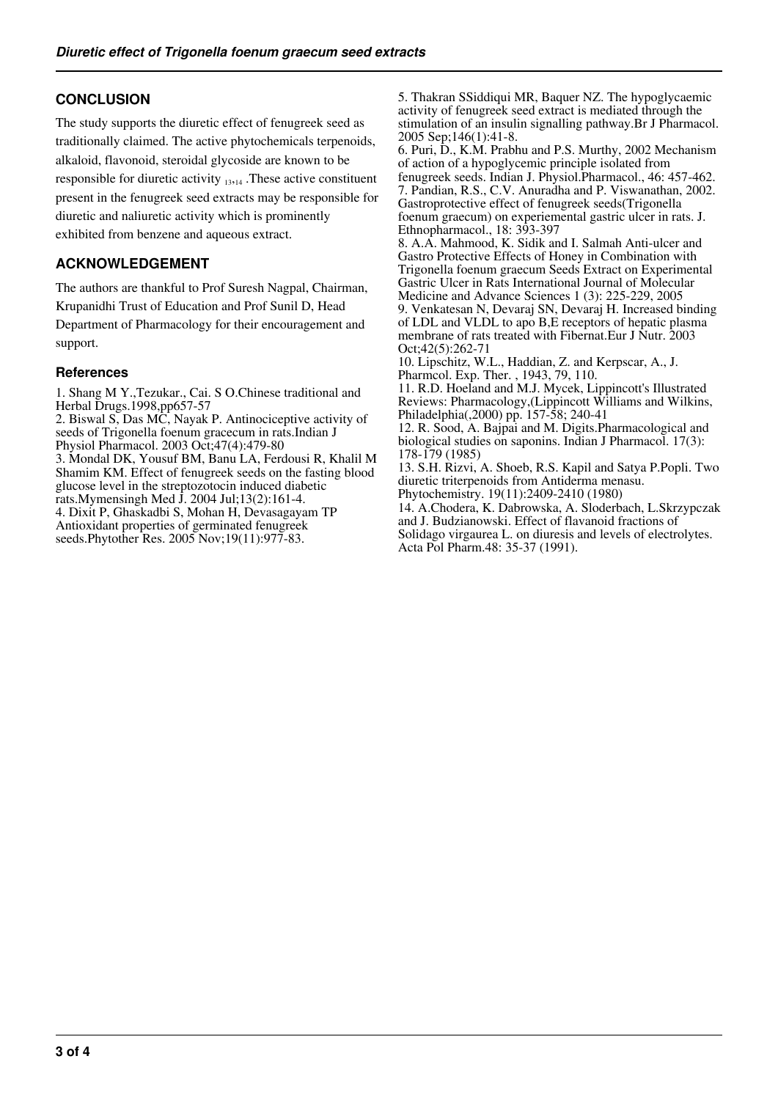# **CONCLUSION**

The study supports the diuretic effect of fenugreek seed as traditionally claimed. The active phytochemicals terpenoids, alkaloid, flavonoid, steroidal glycoside are known to be responsible for diuretic activity  $_{13,14}$ . These active constituent present in the fenugreek seed extracts may be responsible for diuretic and naliuretic activity which is prominently exhibited from benzene and aqueous extract.

# **ACKNOWLEDGEMENT**

The authors are thankful to Prof Suresh Nagpal, Chairman, Krupanidhi Trust of Education and Prof Sunil D, Head Department of Pharmacology for their encouragement and support.

## **References**

1. Shang M Y.,Tezukar., Cai. S O.Chinese traditional and Herbal Drugs.1998,pp657-57

2. Biswal S, Das MC, Nayak P. Antinociceptive activity of seeds of Trigonella foenum gracecum in rats.Indian J Physiol Pharmacol. 2003 Oct;47(4):479-80

3. Mondal DK, Yousuf BM, Banu LA, Ferdousi R, Khalil M Shamim KM. Effect of fenugreek seeds on the fasting blood glucose level in the streptozotocin induced diabetic

rats.Mymensingh Med J. 2004 Jul;13(2):161-4. 4. Dixit P, Ghaskadbi S, Mohan H, Devasagayam TP Antioxidant properties of germinated fenugreek

seeds.Phytother Res. 2005 Nov;19(11):977-83.

5. Thakran SSiddiqui MR, Baquer NZ. The hypoglycaemic activity of fenugreek seed extract is mediated through the stimulation of an insulin signalling pathway.Br J Pharmacol. 2005 Sep;146(1):41-8. 6. Puri, D., K.M. Prabhu and P.S. Murthy, 2002 Mechanism of action of a hypoglycemic principle isolated from fenugreek seeds. Indian J. Physiol.Pharmacol., 46: 457-462. 7. Pandian, R.S., C.V. Anuradha and P. Viswanathan, 2002. Gastroprotective effect of fenugreek seeds(Trigonella foenum graecum) on experiemental gastric ulcer in rats. J. Ethnopharmacol., 18: 393-397 8. A.A. Mahmood, K. Sidik and I. Salmah Anti-ulcer and Gastro Protective Effects of Honey in Combination with Trigonella foenum graecum Seeds Extract on Experimental

Gastric Ulcer in Rats International Journal of Molecular Medicine and Advance Sciences 1 (3): 225-229, 2005 9. Venkatesan N, Devaraj SN, Devaraj H. Increased binding of LDL and VLDL to apo B,E receptors of hepatic plasma membrane of rats treated with Fibernat.Eur J Nutr. 2003

Oct;42(5):262-71

10. Lipschitz, W.L., Haddian, Z. and Kerpscar, A., J. Pharmcol. Exp. Ther. , 1943, 79, 110.

11. R.D. Hoeland and M.J. Mycek, Lippincott's Illustrated Reviews: Pharmacology,(Lippincott Williams and Wilkins, Philadelphia(,2000) pp. 157-58; 240-41

12. R. Sood, A. Bajpai and M. Digits.Pharmacological and biological studies on saponins. Indian J Pharmacol. 17(3): 178-179 (1985)

13. S.H. Rizvi, A. Shoeb, R.S. Kapil and Satya P.Popli. Two diuretic triterpenoids from Antiderma menasu. Phytochemistry. 19(11):2409-2410 (1980)

14. A.Chodera, K. Dabrowska, A. Sloderbach, L.Skrzypczak and J. Budzianowski. Effect of flavanoid fractions of Solidago virgaurea L. on diuresis and levels of electrolytes. Acta Pol Pharm.48: 35-37 (1991).